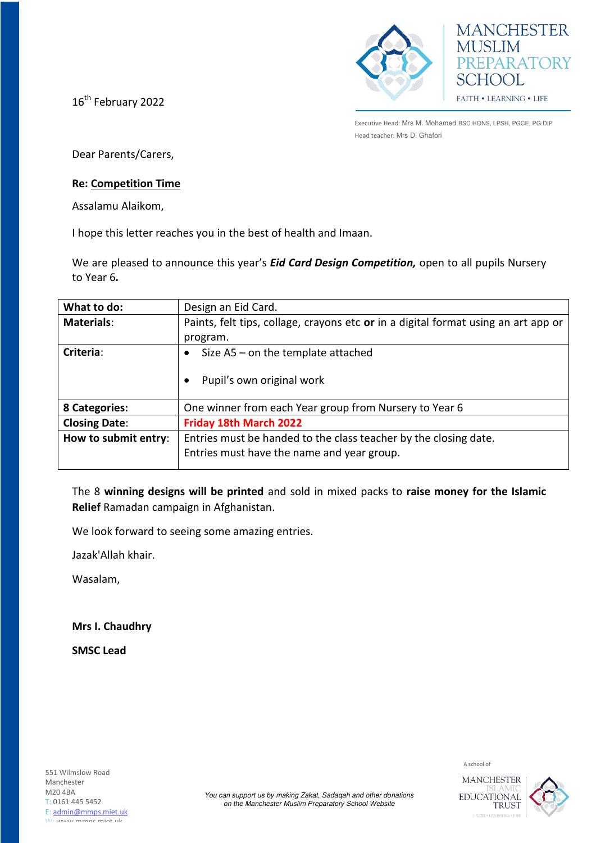16<sup>th</sup> February 2022





Executive Head: Mrs M. Mohamed BSC.HONS, LPSH, PGCE, PG.DIP Head teacher: Mrs D. Ghafori

Dear Parents/Carers,

## **Re: Competition Time**

Assalamu Alaikom,

I hope this letter reaches you in the best of health and Imaan.

We are pleased to announce this year's *Eid Card Design Competition,* open to all pupils Nursery to Year 6*.*

| What to do:          | Design an Eid Card.                                                                |
|----------------------|------------------------------------------------------------------------------------|
| <b>Materials:</b>    | Paints, felt tips, collage, crayons etc or in a digital format using an art app or |
|                      | program.                                                                           |
| Criteria:            | Size $AS$ – on the template attached                                               |
|                      | Pupil's own original work                                                          |
|                      |                                                                                    |
| 8 Categories:        | One winner from each Year group from Nursery to Year 6                             |
| <b>Closing Date:</b> | Friday 18th March 2022                                                             |
| How to submit entry: | Entries must be handed to the class teacher by the closing date.                   |
|                      | Entries must have the name and year group.                                         |
|                      |                                                                                    |

The 8 **winning designs will be printed** and sold in mixed packs to **raise money for the Islamic Relief** Ramadan campaign in Afghanistan.

We look forward to seeing some amazing entries.

Jazak'Allah khair.

Wasalam,

**Mrs I. Chaudhry** 

**SMSC Lead** 



A school of